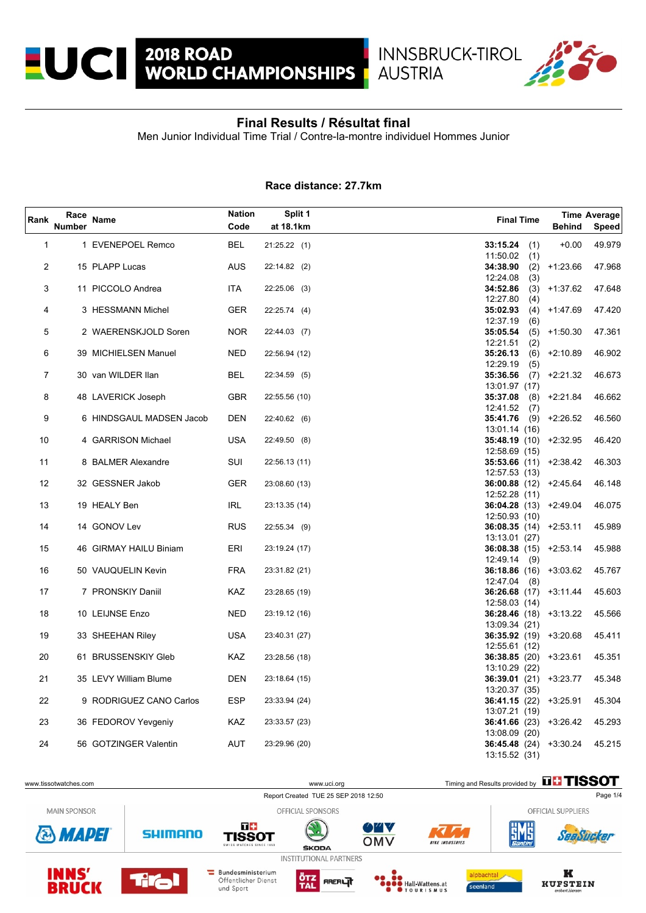

**AUSTRIA** 

Men Junior Individual Time Trial / Contre-la-montre individuel Hommes Junior

## **Race distance: 27.7km**

| Rank           | Race<br><b>Number</b> | <b>Name</b>                                  | <b>Nation</b><br>Code | Split 1<br>at 18.1km           | <b>Final Time</b>                                                                          | <b>Behind</b>  | Time Average<br>Speed |
|----------------|-----------------------|----------------------------------------------|-----------------------|--------------------------------|--------------------------------------------------------------------------------------------|----------------|-----------------------|
| $\mathbf{1}$   |                       | 1 EVENEPOEL Remco                            | <b>BEL</b>            | 21:25.22(1)                    | 33:15.24<br>(1)                                                                            | $+0.00$        | 49.979                |
| $\overline{2}$ |                       | 15 PLAPP Lucas                               | <b>AUS</b>            | 22:14.82 (2)                   | 11:50.02<br>(1)<br>34:38.90                                                                | $(2)$ +1:23.66 | 47.968                |
| 3              |                       | 11 PICCOLO Andrea                            | ITA                   | 22:25.06 (3)                   | 12:24.08<br>(3)<br>34:52.86                                                                | $(3)$ +1:37.62 | 47.648                |
| 4              |                       | 3 HESSMANN Michel                            | <b>GER</b>            | 22:25.74(4)                    | 12:27.80<br>(4)<br>35:02.93<br>12:37.19<br>(6)                                             | $(4)$ +1:47.69 | 47.420                |
| 5              |                       | 2 WAERENSKJOLD Soren                         | <b>NOR</b>            | 22:44.03 (7)                   | 35:05.54<br>12:21.51<br>(2)                                                                | $(5)$ +1:50.30 | 47.361                |
| 6              |                       | 39 MICHIELSEN Manuel                         | <b>NED</b>            | 22:56.94 (12)                  | 35:26.13<br>12:29.19<br>(5)                                                                | $(6)$ +2:10.89 | 46.902                |
| 7              |                       | 30 van WILDER Ilan                           | <b>BEL</b>            | 22:34.59 (5)                   | 35:36.56<br>13:01.97 (17)                                                                  | $(7)$ +2:21.32 | 46.673                |
| 8              |                       | 48 LAVERICK Joseph                           | <b>GBR</b>            | 22:55.56 (10)                  | 35:37.08<br>(8)<br>12:41.52<br>(7)                                                         | +2:21.84       | 46.662                |
| 9              |                       | 6 HINDSGAUL MADSEN Jacob                     | DEN                   | 22:40.62 (6)                   | 35:41.76<br>(9)<br>13:01.14 (16)                                                           | +2:26.52       | 46.560                |
| 10             |                       | 4 GARRISON Michael                           | <b>USA</b>            | 22:49.50 (8)                   | 35:48.19 (10) +2:32.95<br>12:58.69 (15)                                                    |                | 46.420                |
| 11             |                       | 8 BALMER Alexandre                           | SUI                   | 22:56.13 (11)                  | $35:53.66$ (11) $+2:38.42$<br>12:57.53 (13)                                                |                | 46.303                |
| 12             |                       | 32 GESSNER Jakob                             | GER                   | 23:08.60 (13)                  | $36:00.88$ (12) $+2:45.64$<br>12:52.28 (11)                                                |                | 46.148                |
| 13             |                       | 19 HEALY Ben                                 | <b>IRL</b>            | 23:13.35 (14)                  | $36:04.28$ (13) $+2:49.04$<br>12:50.93 (10)                                                |                | 46.075                |
| 14             |                       | 14 GONOV Lev                                 | <b>RUS</b>            | 22:55.34 (9)                   | $36:08.35(14) +2:53.11$<br>13:13.01 (27)                                                   |                | 45.989                |
| 15             |                       | 46 GIRMAY HAILU Biniam                       | ERI                   | 23:19.24 (17)                  | $36:08.38$ (15) $+2:53.14$<br>$12.49.14$ (9)                                               |                | 45.988                |
| 16             |                       | 50 VAUQUELIN Kevin                           | <b>FRA</b>            | 23:31.82 (21)                  | $36:18.86$ (16) $+3:03.62$<br>12:47.04<br>(8)                                              |                | 45.767                |
| 17             |                       | 7 PRONSKIY Daniil                            | KAZ                   | 23:28.65 (19)                  | $36:26.68$ (17) $+3:11.44$<br>12:58.03 (14)                                                |                | 45.603                |
| 18             |                       | 10 LEIJNSE Enzo                              | <b>NED</b>            | 23:19.12 (16)                  | 36:28.46 (18) +3:13.22<br>13:09.34 (21)                                                    |                | 45.566                |
| 19             |                       | 33 SHEEHAN Riley                             | USA                   | 23:40.31 (27)                  | $36:35.92$ (19) $+3:20.68$<br>12:55.61 (12)                                                |                | 45.411                |
| 20             |                       | 61 BRUSSENSKIY Gleb                          | KAZ                   | 23:28.56 (18)                  | 36:38.85 (20) +3:23.61<br>13:10.29 (22)                                                    |                | 45.351                |
| 21             |                       | 35 LEVY William Blume                        | DEN                   | 23:18.64 (15)                  | 36:39.01 (21) +3:23.77<br>13:20.37 (35)                                                    |                | 45.348                |
| 22<br>23       |                       | 9 RODRIGUEZ CANO Carlos                      | <b>ESP</b>            | 23:33.94 (24)                  | $36:41.15(22) +3:25.91$<br>13:07.21 (19)                                                   |                | 45.304                |
| 24             |                       | 36 FEDOROV Yevgeniy<br>56 GOTZINGER Valentin | KAZ<br>AUT            | 23:33.57 (23)<br>23:29.96 (20) | $36:41.66$ (23) $+3:26.42$<br>13:08.09 (20)<br>$36:45.48$ (24) $+3:30.24$<br>13:15.52 (31) |                | 45.293<br>45.215      |

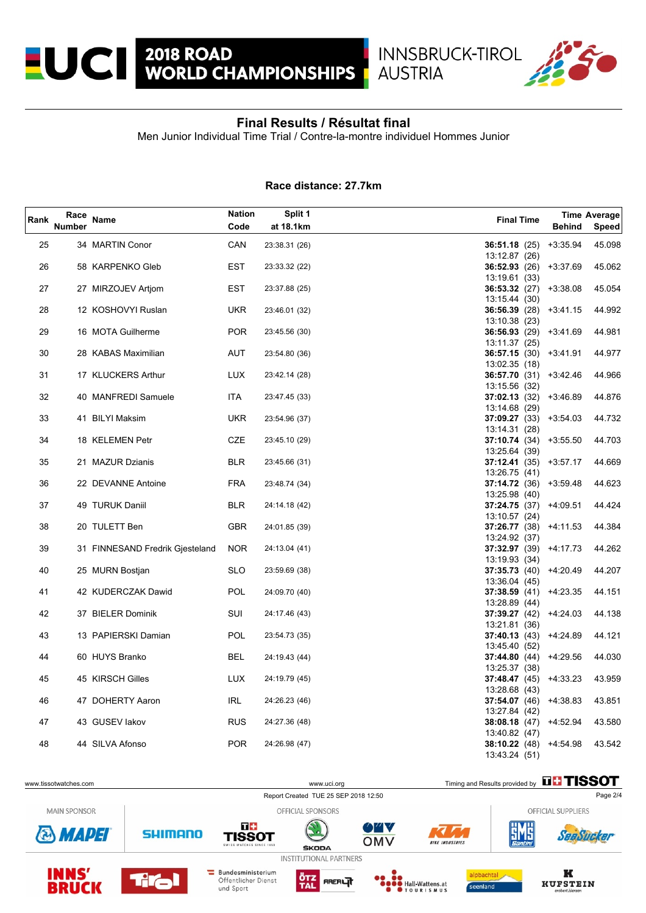

**AUSTRIA** 

Men Junior Individual Time Trial / Contre-la-montre individuel Hommes Junior

## **Race distance: 27.7km**

| Rank | Race<br><b>Number</b> | <b>Name</b>                     | <b>Nation</b><br>Code | Split 1<br>at 18.1km | <b>Final Time</b>                           | <b>Behind</b> | Time Average<br>Speed |
|------|-----------------------|---------------------------------|-----------------------|----------------------|---------------------------------------------|---------------|-----------------------|
| 25   |                       | 34 MARTIN Conor                 | CAN                   | 23:38.31 (26)        | 36:51.18(25)                                | $+3:35.94$    | 45.098                |
| 26   |                       | 58 KARPENKO Gleb                | EST                   | 23:33.32 (22)        | 13:12.87 (26)<br>36:52.93 (26) +3:37.69     |               | 45.062                |
|      |                       |                                 |                       |                      | 13:19.61 (33)                               |               |                       |
| 27   |                       | 27 MIRZOJEV Artjom              | EST                   | 23:37.88 (25)        | $36:53.32$ (27) $+3.38.08$                  |               | 45.054                |
| 28   |                       | 12 KOSHOVYI Ruslan              | <b>UKR</b>            | 23:46.01 (32)        | 13:15.44 (30)<br>$36:56.39$ (28) $+3.41.15$ |               | 44.992                |
| 29   |                       | 16 MOTA Guilherme               | <b>POR</b>            | 23:45.56 (30)        | 13:10.38 (23)<br>$36:56.93(29) +3.41.69$    |               | 44.981                |
|      |                       |                                 |                       |                      | 13:11.37 (25)                               |               |                       |
| 30   |                       | 28 KABAS Maximilian             | AUT                   | 23:54.80 (36)        | $36:57.15(30) +3.41.91$                     |               | 44.977                |
|      |                       |                                 |                       |                      | 13:02.35 (18)                               |               |                       |
| 31   |                       | 17 KLUCKERS Arthur              | <b>LUX</b>            | 23:42.14 (28)        | 36:57.70(31)                                | $+3.42.46$    | 44.966                |
| 32   |                       | 40 MANFREDI Samuele             | ITA                   | 23:47.45 (33)        | 13:15.56 (32)<br>37:02.13(32)               | $+3.46.89$    | 44.876                |
|      |                       |                                 |                       |                      | 13:14.68 (29)                               |               |                       |
| 33   |                       | 41 BILYI Maksim                 | <b>UKR</b>            | 23:54.96 (37)        | $37:09.27(33) +3.54.03$                     |               | 44.732                |
|      |                       |                                 |                       |                      | 13:14.31 (28)                               |               |                       |
| 34   |                       | 18 KELEMEN Petr                 | CZE                   | 23:45.10 (29)        | $37:10.74(34) +3.55.50$                     |               | 44.703                |
|      |                       |                                 |                       |                      | 13:25.64 (39)                               |               |                       |
| 35   |                       | 21 MAZUR Dzianis                | <b>BLR</b>            | 23:45.66 (31)        | $37:12.41(35) +3.57.17$                     |               | 44.669                |
| 36   |                       | 22 DEVANNE Antoine              | <b>FRA</b>            | 23:48.74 (34)        | 13:26.75 (41)<br>$37:14.72(36) +3.59.48$    |               | 44.623                |
|      |                       |                                 |                       |                      | 13:25.98 (40)                               |               |                       |
| 37   |                       | 49 TURUK Daniil                 | <b>BLR</b>            | 24:14.18 (42)        | 37:24.75(37)                                | +4:09.51      | 44.424                |
|      |                       |                                 |                       |                      | 13:10.57 (24)                               |               |                       |
| 38   |                       | 20 TULETT Ben                   | <b>GBR</b>            | 24:01.85 (39)        | 37:26.77 (38) +4:11.53                      |               | 44.384                |
|      |                       |                                 |                       |                      | 13:24.92 (37)                               |               |                       |
| 39   |                       | 31 FINNESAND Fredrik Gjesteland | <b>NOR</b>            | 24:13.04 (41)        | $37:32.97(39) +4.17.73$                     |               | 44.262                |
| 40   |                       | 25 MURN Bostjan                 | <b>SLO</b>            | 23:59.69 (38)        | 13:19.93 (34)<br>37:35.73(40)               | +4:20.49      | 44.207                |
|      |                       |                                 |                       |                      | 13:36.04 (45)                               |               |                       |
| 41   |                       | 42 KUDERCZAK Dawid              | <b>POL</b>            | 24:09.70 (40)        | 37:38.59(41)                                | +4:23.35      | 44.151                |
|      |                       |                                 |                       |                      | 13:28.89 (44)                               |               |                       |
| 42   |                       | 37 BIELER Dominik               | SUI                   | 24:17.46 (43)        | 37:39.27(42)                                | +4:24.03      | 44.138                |
|      |                       |                                 |                       |                      | 13:21.81 (36)                               |               |                       |
| 43   |                       | 13 PAPIERSKI Damian             | POL                   | 23:54.73 (35)        | 37:40.13(43)<br>13:45.40 (52)               | +4:24.89      | 44.121                |
| 44   |                       | 60 HUYS Branko                  | <b>BEL</b>            | 24:19.43 (44)        | 37:44.80 $(44)$ +4:29.56                    |               | 44.030                |
|      |                       |                                 |                       |                      | 13:25.37 (38)                               |               |                       |
| 45   |                       | 45 KIRSCH Gilles                | <b>LUX</b>            | 24:19.79 (45)        | 37:48.47(45)                                | +4:33.23      | 43.959                |
|      |                       |                                 |                       |                      | 13:28.68 (43)                               |               |                       |
| 46   |                       | 47 DOHERTY Aaron                | IRL                   | 24:26.23 (46)        | 37:54.07 (46) +4:38.83                      |               | 43.851                |
| 47   |                       | 43 GUSEV lakov                  | <b>RUS</b>            |                      | 13:27.84 (42)                               |               | 43.580                |
|      |                       |                                 |                       | 24:27.36 (48)        | 38:08.18(47)<br>13:40.82 (47)               | +4:52.94      |                       |
| 48   |                       | 44 SILVA Afonso                 | <b>POR</b>            | 24:26.98 (47)        | 38:10.22 (48) +4:54.98                      |               | 43.542                |
|      |                       |                                 |                       |                      | 13:43.24 (51)                               |               |                       |

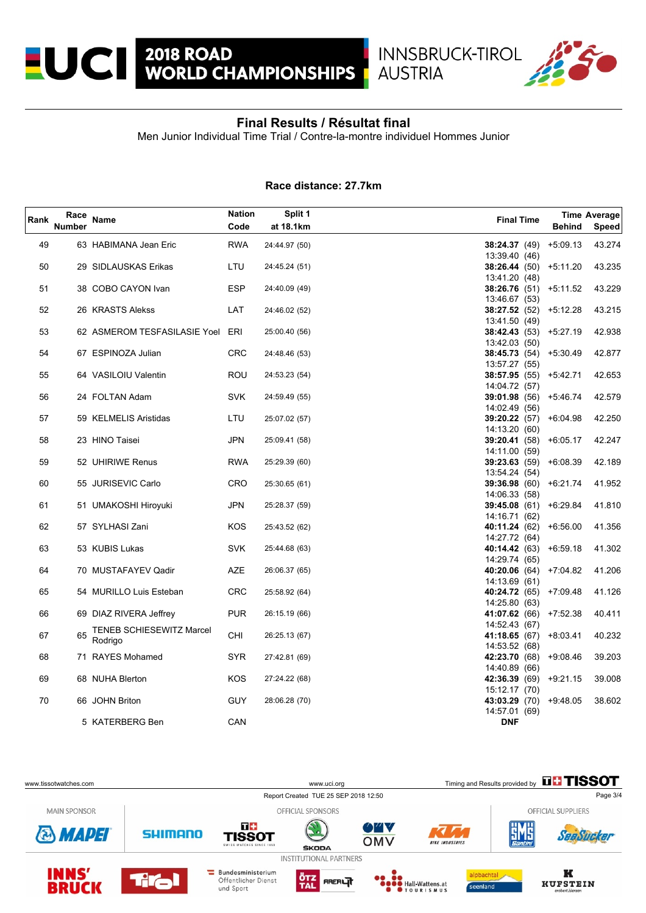

**AUSTRIA** 

Men Junior Individual Time Trial / Contre-la-montre individuel Hommes Junior

## **Race distance: 27.7km**

| Rank | Race<br><b>Number</b> | Name                                       | <b>Nation</b><br>Code | Split 1<br>at 18.1km | <b>Final Time</b>                              | <b>Behind</b> | <b>Time Average</b><br>Speed |
|------|-----------------------|--------------------------------------------|-----------------------|----------------------|------------------------------------------------|---------------|------------------------------|
| 49   |                       | 63 HABIMANA Jean Eric                      | <b>RWA</b>            | 24:44.97 (50)        | 38:24.37(49)                                   | $+5:09.13$    | 43.274                       |
| 50   |                       | 29 SIDLAUSKAS Erikas                       | LTU                   | 24:45.24 (51)        | 13:39.40 (46)<br>38:26.44(50)                  | +5:11.20      | 43.235                       |
| 51   |                       | 38 COBO CAYON Ivan                         | <b>ESP</b>            | 24:40.09 (49)        | 13:41.20 (48)<br>38:26.76(51)<br>13:46.67 (53) | $+5:11.52$    | 43.229                       |
| 52   |                       | 26 KRASTS Alekss                           | LAT                   | 24:46.02 (52)        | 38:27.52 (52) +5:12.28<br>13:41.50 (49)        |               | 43.215                       |
| 53   |                       | 62 ASMEROM TESFASILASIE Yoel ERI           |                       | 25:00.40 (56)        | <b>38:42.43</b> (53)<br>13:42.03 (50)          | +5:27.19      | 42.938                       |
| 54   |                       | 67 ESPINOZA Julian                         | CRC                   | 24:48.46 (53)        | 38:45.73 (54) +5:30.49<br>13:57.27 (55)        |               | 42.877                       |
| 55   |                       | 64 VASILOIU Valentin                       | ROU                   | 24:53.23 (54)        | 38:57.95 (55) +5:42.71<br>14:04.72 (57)        |               | 42.653                       |
| 56   |                       | 24 FOLTAN Adam                             | <b>SVK</b>            | 24:59.49 (55)        | <b>39:01.98</b> (56)<br>14:02.49 (56)          | +5:46.74      | 42.579                       |
| 57   |                       | 59 KELMELIS Aristidas                      | LTU                   | 25:07.02 (57)        | $39:20.22$ (57) $+6:04.98$<br>14:13.20 (60)    |               | 42.250                       |
| 58   |                       | 23 HINO Taisei                             | JPN                   | 25:09.41 (58)        | <b>39:20.41</b> (58)<br>14:11.00 (59)          | +6:05.17      | 42.247                       |
| 59   |                       | 52 UHIRIWE Renus                           | <b>RWA</b>            | 25:29.39 (60)        | 39:23.63(59)<br>13.54.24 (54)                  | +6:08.39      | 42.189                       |
| 60   |                       | 55 JURISEVIC Carlo                         | CRO                   | 25:30.65 (61)        | 39:36.98(60)<br>14:06.33 (58)                  | $+6:21.74$    | 41.952                       |
| 61   |                       | 51 UMAKOSHI Hiroyuki                       | JPN                   | 25:28.37 (59)        | 39:45.08(61)<br>14:16.71 (62)                  | $+6.29.84$    | 41.810                       |
| 62   |                       | 57 SYLHASI Zani                            | KOS                   | 25:43.52 (62)        | 40:11.24 (62)<br>14:27.72 (64)                 | $+6:56.00$    | 41.356                       |
| 63   |                       | 53 KUBIS Lukas                             | <b>SVK</b>            | 25:44.68 (63)        | 40:14.42 (63) +6:59.18<br>14:29.74 (65)        |               | 41.302                       |
| 64   |                       | 70 MUSTAFAYEV Qadir                        | AZE                   | 26:06.37 (65)        | 40:20.06 $(64)$ +7:04.82<br>14:13.69 (61)      |               | 41.206                       |
| 65   |                       | 54 MURILLO Luis Esteban                    | CRC                   | 25:58.92 (64)        | 40:24.72 (65) +7:09.48<br>14:25.80 (63)        |               | 41.126                       |
| 66   |                       | 69 DIAZ RIVERA Jeffrey                     | <b>PUR</b>            | 26:15.19 (66)        | 41:07.62 (66) +7:52.38<br>14:52.43 (67)        |               | 40.411                       |
| 67   | 65                    | <b>TENEB SCHIESEWITZ Marcel</b><br>Rodrigo | CHI                   | 26:25.13 (67)        | 41:18.65 (67)<br>14:53.52 (68)                 | +8:03.41      | 40.232                       |
| 68   |                       | 71 RAYES Mohamed                           | SYR                   | 27:42.81 (69)        | 42:23.70 (68) +9:08.46<br>14:40.89 (66)        |               | 39.203                       |
| 69   |                       | 68 NUHA Blerton                            | KOS                   | 27:24.22 (68)        | 42:36.39 (69)<br>15:12.17 (70)                 | $+9:21.15$    | 39.008                       |
| 70   |                       | 66 JOHN Briton                             | <b>GUY</b>            | 28:06.28 (70)        | 43:03.29 (70)<br>14:57.01 (69)                 | +9:48.05      | 38.602                       |
|      |                       | 5 KATERBERG Ben                            | CAN                   |                      | <b>DNF</b>                                     |               |                              |